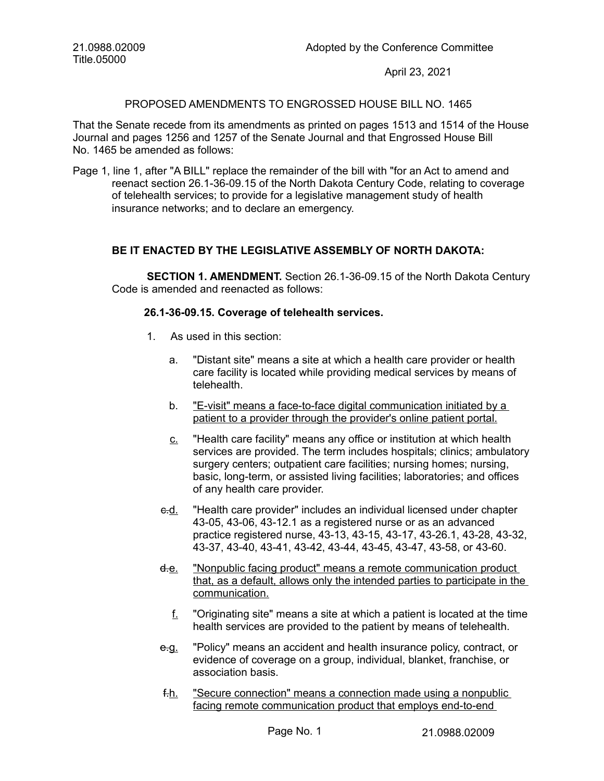21.0988.02009 Title.05000

April 23, 2021

## PROPOSED AMENDMENTS TO ENGROSSED HOUSE BILL NO. 1465

That the Senate recede from its amendments as printed on pages 1513 and 1514 of the House Journal and pages 1256 and 1257 of the Senate Journal and that Engrossed House Bill No. 1465 be amended as follows:

Page 1, line 1, after "A BILL" replace the remainder of the bill with "for an Act to amend and reenact section 26.1-36-09.15 of the North Dakota Century Code, relating to coverage of telehealth services; to provide for a legislative management study of health insurance networks; and to declare an emergency.

## **BE IT ENACTED BY THE LEGISLATIVE ASSEMBLY OF NORTH DAKOTA:**

**SECTION 1. AMENDMENT.** Section 26.1-36-09.15 of the North Dakota Century Code is amended and reenacted as follows:

## **26.1-36-09.15. Coverage of telehealth services.**

- 1. As used in this section:
	- a. "Distant site" means a site at which a health care provider or health care facility is located while providing medical services by means of telehealth.
	- b. "E-visit" means a face-to-face digital communication initiated by a patient to a provider through the provider's online patient portal.
	- c. "Health care facility" means any office or institution at which health services are provided. The term includes hospitals; clinics; ambulatory surgery centers; outpatient care facilities; nursing homes; nursing, basic, long-term, or assisted living facilities; laboratories; and offices of any health care provider.
	- e.d. "Health care provider" includes an individual licensed under chapter 43-05, 43-06, 43-12.1 as a registered nurse or as an advanced practice registered nurse, 43-13, 43-15, 43-17, 43-26.1, 43-28, 43-32, 43-37, 43-40, 43-41, 43-42, 43-44, 43-45, 43-47, 43-58, or 43-60.
	- d.e. "Nonpublic facing product" means a remote communication product that, as a default, allows only the intended parties to participate in the communication.
		- f. "Originating site" means a site at which a patient is located at the time health services are provided to the patient by means of telehealth.
	- e.g. "Policy" means an accident and health insurance policy, contract, or evidence of coverage on a group, individual, blanket, franchise, or association basis.
	- f.h. "Secure connection" means a connection made using a nonpublic facing remote communication product that employs end-to-end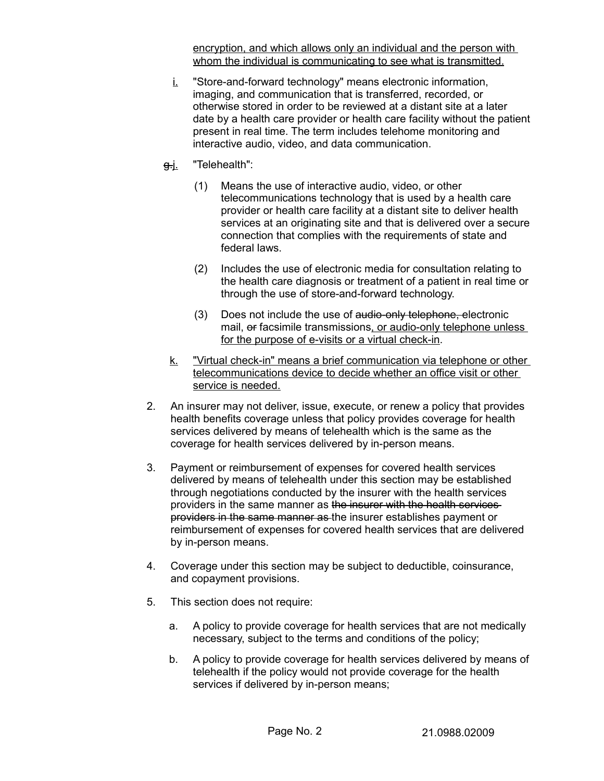encryption, and which allows only an individual and the person with whom the individual is communicating to see what is transmitted.

- i. "Store-and-forward technology" means electronic information, imaging, and communication that is transferred, recorded, or otherwise stored in order to be reviewed at a distant site at a later date by a health care provider or health care facility without the patient present in real time. The term includes telehome monitoring and interactive audio, video, and data communication.
- g.j. "Telehealth":
	- (1) Means the use of interactive audio, video, or other telecommunications technology that is used by a health care provider or health care facility at a distant site to deliver health services at an originating site and that is delivered over a secure connection that complies with the requirements of state and federal laws.
	- (2) Includes the use of electronic media for consultation relating to the health care diagnosis or treatment of a patient in real time or through the use of store-and-forward technology.
	- (3) Does not include the use of audio-only telephone, electronic mail, or facsimile transmissions, or audio-only telephone unless for the purpose of e-visits or a virtual check-in.
- k. "Virtual check-in" means a brief communication via telephone or other telecommunications device to decide whether an office visit or other service is needed.
- 2. An insurer may not deliver, issue, execute, or renew a policy that provides health benefits coverage unless that policy provides coverage for health services delivered by means of telehealth which is the same as the coverage for health services delivered by in-person means.
- 3. Payment or reimbursement of expenses for covered health services delivered by means of telehealth under this section may be established through negotiations conducted by the insurer with the health services providers in the same manner as the insurer with the health services providers in the same manner as the insurer establishes payment or reimbursement of expenses for covered health services that are delivered by in-person means.
- 4. Coverage under this section may be subject to deductible, coinsurance, and copayment provisions.
- 5. This section does not require:
	- a. A policy to provide coverage for health services that are not medically necessary, subject to the terms and conditions of the policy;
	- b. A policy to provide coverage for health services delivered by means of telehealth if the policy would not provide coverage for the health services if delivered by in-person means;